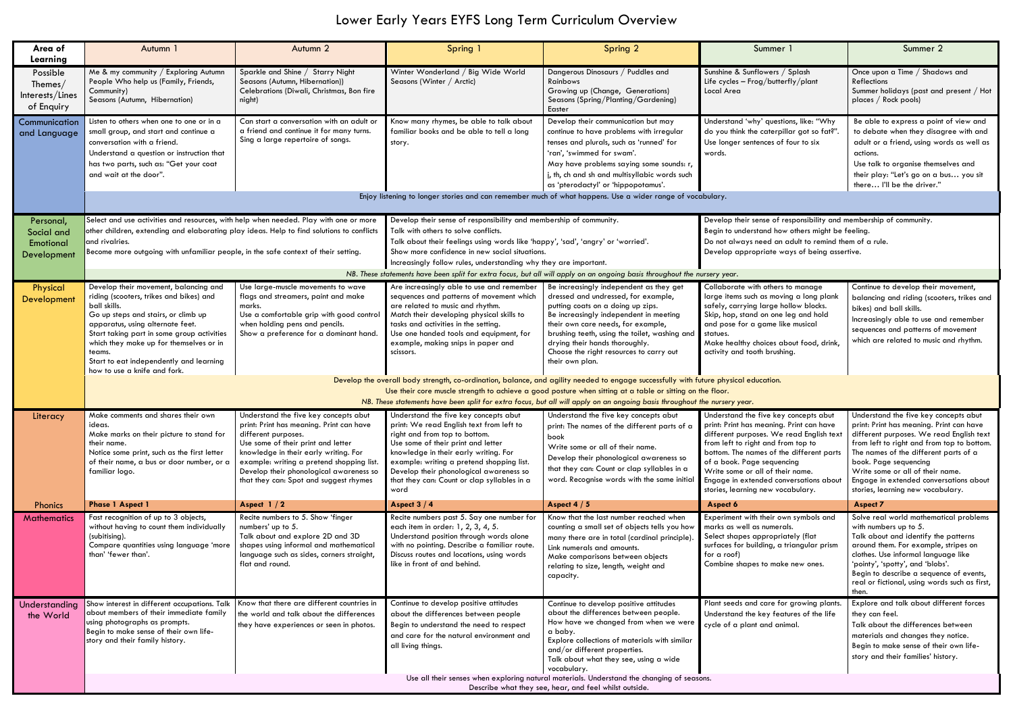## Lower Early Years EYFS Long Term Curriculum Overview

| Area of<br>Learning                                  | Autumn 1                                                                                                                                                                                                                                                                                                                                                                       | Autumn 2                                                                                                                                                                                                                                                                                                                  | Spring 1                                                                                                                                                                                                                                                                                                                                         | Spring 2                                                                                                                                                                                                                                                                                                                                                                    | Summer 1                                                                                                                                                                                                                                                                                                                                                         | Summer 2                                                                                                                                                                                                                                                                                                                                                         |  |  |  |
|------------------------------------------------------|--------------------------------------------------------------------------------------------------------------------------------------------------------------------------------------------------------------------------------------------------------------------------------------------------------------------------------------------------------------------------------|---------------------------------------------------------------------------------------------------------------------------------------------------------------------------------------------------------------------------------------------------------------------------------------------------------------------------|--------------------------------------------------------------------------------------------------------------------------------------------------------------------------------------------------------------------------------------------------------------------------------------------------------------------------------------------------|-----------------------------------------------------------------------------------------------------------------------------------------------------------------------------------------------------------------------------------------------------------------------------------------------------------------------------------------------------------------------------|------------------------------------------------------------------------------------------------------------------------------------------------------------------------------------------------------------------------------------------------------------------------------------------------------------------------------------------------------------------|------------------------------------------------------------------------------------------------------------------------------------------------------------------------------------------------------------------------------------------------------------------------------------------------------------------------------------------------------------------|--|--|--|
| Possible<br>Themes/<br>Interests/Lines<br>of Enquiry | Me & my community / Exploring Autumn<br>People Who help us (Family, Friends,<br>Community)<br>Seasons (Autumn, Hibernation)                                                                                                                                                                                                                                                    | Sparkle and Shine / Starry Night<br>Seasons (Autumn, Hibernation))<br>Celebrations (Diwali, Christmas, Bon fire<br>night)                                                                                                                                                                                                 | Winter Wonderland / Big Wide World<br>Seasons (Winter / Arctic)                                                                                                                                                                                                                                                                                  | Dangerous Dinosaurs / Puddles and<br>Rainbows<br>Growing up (Change, Generations)<br>Seasons (Spring/Planting/Gardening)<br>Easter                                                                                                                                                                                                                                          | Sunshine & Sunflowers / Splash<br>Life cycles - Frog/butterfly/plant<br>Local Area                                                                                                                                                                                                                                                                               | Once upon a Time / Shadows and<br>Reflections<br>Summer holidays (past and present / Hot<br>places / Rock pools)                                                                                                                                                                                                                                                 |  |  |  |
| Communication<br>and Language                        | Listen to others when one to one or in a<br>small group, and start and continue a<br>conversation with a friend.<br>Understand a question or instruction that<br>has two parts, such as: "Get your coat<br>and wait at the door".                                                                                                                                              | Can start a conversation with an adult or<br>a friend and continue it for many turns.<br>Sing a large repertoire of songs.                                                                                                                                                                                                | Know many rhymes, be able to talk about<br>familiar books and be able to tell a long<br>story.                                                                                                                                                                                                                                                   | Develop their communication but may<br>continue to have problems with irregular<br>tenses and plurals, such as 'runned' for<br>'ran', 'swimmed for swam'.<br>May have problems saying some sounds: r,<br>j, th, ch and sh and multisyllabic words such<br>as 'pterodactyl' or 'hippopotamus'.                                                                               | Understand 'why' questions, like: "Why<br>do you think the caterpillar got so fat?".<br>Use longer sentences of four to six<br>words.                                                                                                                                                                                                                            | Be able to express a point of view and<br>to debate when they disagree with and<br>adult or a friend, using words as well as<br>actions.<br>Use talk to organise themselves and<br>their play: "Let's go on a bus you sit<br>there I'll be the driver."                                                                                                          |  |  |  |
|                                                      |                                                                                                                                                                                                                                                                                                                                                                                |                                                                                                                                                                                                                                                                                                                           | Enjoy listening to longer stories and can remember much of what happens. Use a wider range of vocabulary.                                                                                                                                                                                                                                        |                                                                                                                                                                                                                                                                                                                                                                             |                                                                                                                                                                                                                                                                                                                                                                  |                                                                                                                                                                                                                                                                                                                                                                  |  |  |  |
| Personal,<br>Social and<br>Emotional<br>Development  | Select and use activities and resources, with help when needed. Play with one or more<br>other children, extending and elaborating play ideas. Help to find solutions to conflicts<br>and rivalries.<br>Become more outgoing with unfamiliar people, in the safe context of their setting.                                                                                     |                                                                                                                                                                                                                                                                                                                           | Develop their sense of responsibility and membership of community.<br>Talk with others to solve conflicts.<br>Talk about their feelings using words like 'happy', 'sad', 'angry' or 'worried'.<br>Show more confidence in new social situations.<br>Increasingly follow rules, understanding why they are important.                             |                                                                                                                                                                                                                                                                                                                                                                             | Develop their sense of responsibility and membership of community.<br>Begin to understand how others might be feeling.<br>Do not always need an adult to remind them of a rule.<br>Develop appropriate ways of being assertive.                                                                                                                                  |                                                                                                                                                                                                                                                                                                                                                                  |  |  |  |
|                                                      |                                                                                                                                                                                                                                                                                                                                                                                |                                                                                                                                                                                                                                                                                                                           | NB. These statements have been split for extra focus, but all will apply on an ongoing basis throughout the nursery year.                                                                                                                                                                                                                        |                                                                                                                                                                                                                                                                                                                                                                             |                                                                                                                                                                                                                                                                                                                                                                  |                                                                                                                                                                                                                                                                                                                                                                  |  |  |  |
| Physical<br>Development                              | Develop their movement, balancing and<br>riding (scooters, trikes and bikes) and<br>ball skills.<br>Go up steps and stairs, or climb up<br>apparatus, using alternate feet.<br>Start taking part in some group activities<br>which they make up for themselves or in<br>teams.<br>Start to eat independently and learning<br>how to use a knife and fork.                      | Use large-muscle movements to wave<br>flags and streamers, paint and make<br>marks.<br>Use a comfortable grip with good control<br>when holding pens and pencils.<br>Show a preference for a dominant hand.                                                                                                               | Are increasingly able to use and remember<br>sequences and patterns of movement which<br>are related to music and rhythm.<br>Match their developing physical skills to<br>tasks and activities in the setting.<br>Use one handed tools and equipment, for<br>example, making snips in paper and<br>scissors.                                     | Be increasingly independent as they get<br>dressed and undressed, for example,<br>putting coats on a doing up zips.<br>Be increasingly independent in meeting<br>their own care needs, for example,<br>brushing teeth, using the toilet, washing and<br>drying their hands thoroughly.<br>Choose the right resources to carry out<br>their own plan.                        | Collaborate with others to manage<br>large items such as moving a long plank<br>safely, carrying large hollow blocks.<br>Skip, hop, stand on one leg and hold<br>and pose for a game like musical<br>statues.<br>Make healthy choices about food, drink,<br>activity and tooth brushing.                                                                         | Continue to develop their movement,<br>balancing and riding (scooters, trikes and<br>bikes) and ball skills.<br>Increasingly able to use and remember<br>sequences and patterns of movement<br>which are related to music and rhythm.                                                                                                                            |  |  |  |
|                                                      | Develop the overall body strength, co-ordination, balance, and agility needed to engage successfully with future physical education.<br>Use their core muscle strength to achieve a good posture when sitting at a table or sitting on the floor.<br>NB. These statements have been split for extra focus, but all will apply on an ongoing basis throughout the nursery year. |                                                                                                                                                                                                                                                                                                                           |                                                                                                                                                                                                                                                                                                                                                  |                                                                                                                                                                                                                                                                                                                                                                             |                                                                                                                                                                                                                                                                                                                                                                  |                                                                                                                                                                                                                                                                                                                                                                  |  |  |  |
| Literacy                                             | Make comments and shares their own<br>ideas.<br>Make marks on their picture to stand for<br>their name.<br>Notice some print, such as the first letter<br>of their name, a bus or door number, or a<br>familiar logo.                                                                                                                                                          | Understand the five key concepts abut<br>print: Print has meaning. Print can have<br>different purposes.<br>Use some of their print and letter<br>knowledge in their early writing. For<br>example: writing a pretend shopping list.<br>Develop their phonological awareness so<br>that they can: Spot and suggest rhymes | Understand the five key concepts abut<br>print: We read English text from left to<br>right and from top to bottom.<br>Use some of their print and letter<br>knowledge in their early writing. For<br>example: writing a pretend shopping list.<br>Develop their phonological awareness so<br>that they can: Count or clap syllables in a<br>word | Understand the five key concepts abut<br>print: The names of the different parts of a<br>book<br>Write some or all of their name.<br>Develop their phonological awareness so<br>that they can: Count or clap syllables in a<br>word. Recognise words with the same initia                                                                                                   | Understand the five key concepts abut<br>print: Print has meaning. Print can have<br>different purposes. We read English text<br>from left to right and from top to<br>bottom. The names of the different parts<br>of a book. Page sequencing<br>Write some or all of their name.<br>Engage in extended conversations about<br>stories, learning new vocabulary. | Understand the five key concepts abut<br>print: Print has meaning. Print can have<br>different purposes. We read English text<br>from left to right and from top to bottom.<br>The names of the different parts of a<br>book. Page sequencing<br>Write some or all of their name.<br>Engage in extended conversations about<br>stories, learning new vocabulary. |  |  |  |
| <b>Phonics</b>                                       | <b>Phase 1 Aspect 1</b>                                                                                                                                                                                                                                                                                                                                                        | Aspect $1/2$                                                                                                                                                                                                                                                                                                              | Aspect $3/4$                                                                                                                                                                                                                                                                                                                                     | Aspect $4/5$                                                                                                                                                                                                                                                                                                                                                                | Aspect 6                                                                                                                                                                                                                                                                                                                                                         | <b>Aspect 7</b>                                                                                                                                                                                                                                                                                                                                                  |  |  |  |
| <b>Mathematics</b>                                   | Fast recognition of up to 3 objects,<br>without having to count them individually<br>(subitising).<br>Compare quantities using language 'more<br>than' 'fewer than'.                                                                                                                                                                                                           | Recite numbers to 5. Show 'finger<br>numbers' up to 5.<br>Talk about and explore 2D and 3D<br>shapes using informal and mathematical<br>language such as sides, corners straight,<br>flat and round.                                                                                                                      | Recite numbers past 5. Say one number for<br>each item in order: 1, 2, 3, 4, 5.<br>Understand position through words alone<br>with no pointing. Describe a familiar route.<br>Discuss routes and locations, using words<br>like in front of and behind.                                                                                          | Know that the last number reached when<br>counting a small set of objects tells you how<br>many there are in total (cardinal principle)<br>Link numerals and amounts.<br>Make comparisons between objects<br>relating to size, length, weight and<br>capacity.                                                                                                              | Experiment with their own symbols and<br>marks as well as numerals.<br>Select shapes appropriately (flat<br>surfaces for building, a triangular prism<br>for a roof)<br>Combine shapes to make new ones.                                                                                                                                                         | Solve real world mathematical problems<br>with numbers up to 5.<br>Talk about and identify the patterns<br>around them. For example, stripes on<br>clothes. Use informal language like<br>'pointy', 'spotty', and 'blobs'.<br>Begin to describe a sequence of events,<br>real or fictional, using words such as first,<br>then.                                  |  |  |  |
| Understanding<br>the World                           | Show interest in different occupations. Talk Know that there are different countries in<br>about members of their immediate family<br>using photographs as prompts.<br>Begin to make sense of their own life-<br>story and their family history.                                                                                                                               | the world and talk about the differences<br>they have experiences or seen in photos.                                                                                                                                                                                                                                      | Continue to develop positive attitudes<br>about the differences between people<br>Begin to understand the need to respect<br>and care for the natural environment and<br>all living things.                                                                                                                                                      | Continue to develop positive attitudes<br>about the differences between people.<br>How have we changed from when we were<br>a baby.<br>Explore collections of materials with similar<br>and/or different properties.<br>Talk about what they see, using a wide<br>vocabulary.<br>Use all their senses when exploring natural materials. Understand the changing of seasons. | Plant seeds and care for growing plants.<br>Understand the key features of the life<br>cycle of a plant and animal.                                                                                                                                                                                                                                              | Explore and talk about different forces<br>they can feel.<br>Talk about the differences between<br>materials and changes they notice.<br>Begin to make sense of their own life-<br>story and their families' history.                                                                                                                                            |  |  |  |
|                                                      | Describe what they see, hear, and feel whilst outside.                                                                                                                                                                                                                                                                                                                         |                                                                                                                                                                                                                                                                                                                           |                                                                                                                                                                                                                                                                                                                                                  |                                                                                                                                                                                                                                                                                                                                                                             |                                                                                                                                                                                                                                                                                                                                                                  |                                                                                                                                                                                                                                                                                                                                                                  |  |  |  |